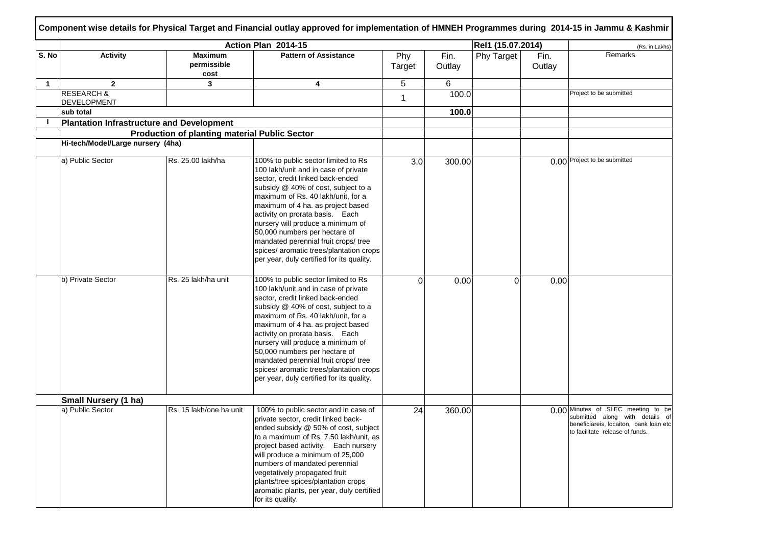|       |                                                  |                                               | Action Plan 2014-15                                                                                                                                                                                                                                                                                                                                                                                                                                                        |               |                | Rel1 (15.07.2014) |                | (Rs. in Lakhs)                                                                                                                                     |
|-------|--------------------------------------------------|-----------------------------------------------|----------------------------------------------------------------------------------------------------------------------------------------------------------------------------------------------------------------------------------------------------------------------------------------------------------------------------------------------------------------------------------------------------------------------------------------------------------------------------|---------------|----------------|-------------------|----------------|----------------------------------------------------------------------------------------------------------------------------------------------------|
| S. No | <b>Activity</b>                                  | <b>Maximum</b><br>permissible<br>cost         | <b>Pattern of Assistance</b>                                                                                                                                                                                                                                                                                                                                                                                                                                               | Phy<br>Target | Fin.<br>Outlay | Phy Target        | Fin.<br>Outlay | Remarks                                                                                                                                            |
| 1     | $\mathbf{2}$                                     | 3                                             | 4                                                                                                                                                                                                                                                                                                                                                                                                                                                                          | 5             | 6              |                   |                |                                                                                                                                                    |
|       | <b>RESEARCH &amp;</b><br>DEVELOPMENT             |                                               |                                                                                                                                                                                                                                                                                                                                                                                                                                                                            | 1             | 100.0          |                   |                | Project to be submitted                                                                                                                            |
|       | sub total                                        |                                               |                                                                                                                                                                                                                                                                                                                                                                                                                                                                            |               | 100.0          |                   |                |                                                                                                                                                    |
|       | <b>Plantation Infrastructure and Development</b> |                                               |                                                                                                                                                                                                                                                                                                                                                                                                                                                                            |               |                |                   |                |                                                                                                                                                    |
|       |                                                  | Production of planting material Public Sector |                                                                                                                                                                                                                                                                                                                                                                                                                                                                            |               |                |                   |                |                                                                                                                                                    |
|       | Hi-tech/Model/Large nursery (4ha)                |                                               |                                                                                                                                                                                                                                                                                                                                                                                                                                                                            |               |                |                   |                |                                                                                                                                                    |
|       | a) Public Sector                                 | Rs. 25.00 lakh/ha                             | 100% to public sector limited to Rs<br>100 lakh/unit and in case of private<br>sector, credit linked back-ended<br>subsidy @ 40% of cost, subject to a<br>maximum of Rs. 40 lakh/unit, for a<br>maximum of 4 ha. as project based<br>activity on prorata basis. Each<br>nursery will produce a minimum of<br>50,000 numbers per hectare of<br>mandated perennial fruit crops/ tree<br>spices/ aromatic trees/plantation crops<br>per year, duly certified for its quality. | 3.0           | 300.00         |                   |                | 0.00 Project to be submitted                                                                                                                       |
|       | b) Private Sector                                | Rs. 25 lakh/ha unit                           | 100% to public sector limited to Rs<br>100 lakh/unit and in case of private<br>sector, credit linked back-ended<br>subsidy @ 40% of cost, subject to a<br>maximum of Rs. 40 lakh/unit, for a<br>maximum of 4 ha. as project based<br>activity on prorata basis. Each<br>nursery will produce a minimum of<br>50,000 numbers per hectare of<br>mandated perennial fruit crops/ tree<br>spices/ aromatic trees/plantation crops<br>per year, duly certified for its quality. | $\Omega$      | 0.00           | 0                 | 0.00           |                                                                                                                                                    |
|       | Small Nursery (1 ha)                             |                                               |                                                                                                                                                                                                                                                                                                                                                                                                                                                                            |               |                |                   |                |                                                                                                                                                    |
|       | a) Public Sector                                 | Rs. 15 lakh/one ha unit                       | 100% to public sector and in case of<br>private sector, credit linked back-<br>ended subsidy @ 50% of cost, subject<br>to a maximum of Rs. 7.50 lakh/unit, as<br>project based activity. Each nursery<br>will produce a minimum of 25,000<br>numbers of mandated perennial<br>vegetatively propagated fruit<br>plants/tree spices/plantation crops<br>aromatic plants, per year, duly certified<br>for its quality.                                                        | 24            | 360.00         |                   |                | 0.00 Minutes of SLEC meeting to be<br>submitted along with details of<br>beneficiareis, locaiton, bank loan etc<br>to facilitate release of funds. |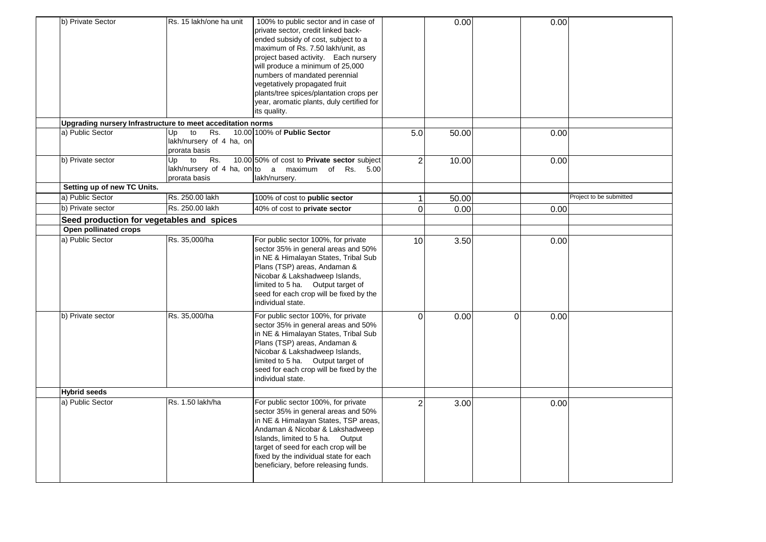| b) Private Sector                                           | Rs. 15 lakh/one ha unit                                      | 100% to public sector and in case of<br>private sector, credit linked back-<br>ended subsidy of cost, subject to a<br>maximum of Rs. 7.50 lakh/unit, as<br>project based activity. Each nursery<br>will produce a minimum of 25,000<br>numbers of mandated perennial<br>vegetatively propagated fruit<br>plants/tree spices/plantation crops per<br>year, aromatic plants, duly certified for<br>its quality. |               | 0.00  |             | 0.00 |                         |
|-------------------------------------------------------------|--------------------------------------------------------------|---------------------------------------------------------------------------------------------------------------------------------------------------------------------------------------------------------------------------------------------------------------------------------------------------------------------------------------------------------------------------------------------------------------|---------------|-------|-------------|------|-------------------------|
| Upgrading nursery Infrastructure to meet acceditation norms |                                                              |                                                                                                                                                                                                                                                                                                                                                                                                               |               |       |             |      |                         |
| a) Public Sector                                            | Rs.<br>to<br>Up<br>lakh/nursery of 4 ha, on<br>prorata basis | 10.00 100% of Public Sector                                                                                                                                                                                                                                                                                                                                                                                   | 5.0           | 50.00 |             | 0.00 |                         |
| b) Private sector                                           | to<br>Up<br>Rs.<br>prorata basis                             | 10.00 50% of cost to Private sector subject<br>lakh/nursery of 4 ha, on to a maximum of Rs. 5.00<br>lakh/nursery.                                                                                                                                                                                                                                                                                             | $\mathcal{P}$ | 10.00 |             | 0.00 |                         |
| Setting up of new TC Units.                                 |                                                              |                                                                                                                                                                                                                                                                                                                                                                                                               |               |       |             |      |                         |
| a) Public Sector                                            | Rs. 250.00 lakh                                              | 100% of cost to public sector                                                                                                                                                                                                                                                                                                                                                                                 |               | 50.00 |             |      | Project to be submitted |
| b) Private sector                                           | Rs. 250.00 lakh                                              | 40% of cost to private sector                                                                                                                                                                                                                                                                                                                                                                                 | $\Omega$      | 0.00  |             | 0.00 |                         |
| Seed production for vegetables and spices                   |                                                              |                                                                                                                                                                                                                                                                                                                                                                                                               |               |       |             |      |                         |
| Open pollinated crops                                       |                                                              |                                                                                                                                                                                                                                                                                                                                                                                                               |               |       |             |      |                         |
| a) Public Sector                                            | Rs. 35,000/ha                                                | For public sector 100%, for private<br>sector 35% in general areas and 50%<br>in NE & Himalayan States, Tribal Sub<br>Plans (TSP) areas, Andaman &<br>Nicobar & Lakshadweep Islands,<br>limited to 5 ha. Output target of<br>seed for each crop will be fixed by the<br>individual state.                                                                                                                     | 10            | 3.50  |             | 0.00 |                         |
| b) Private sector                                           | Rs. 35,000/ha                                                | For public sector 100%, for private<br>sector 35% in general areas and 50%<br>in NE & Himalayan States, Tribal Sub<br>Plans (TSP) areas, Andaman &<br>Nicobar & Lakshadweep Islands,<br>limited to 5 ha. Output target of<br>seed for each crop will be fixed by the<br>individual state.                                                                                                                     | $\Omega$      | 0.00  | $\mathbf 0$ | 0.00 |                         |
| <b>Hybrid seeds</b>                                         |                                                              |                                                                                                                                                                                                                                                                                                                                                                                                               |               |       |             |      |                         |
| a) Public Sector                                            | Rs. 1.50 lakh/ha                                             | For public sector 100%, for private<br>sector 35% in general areas and 50%<br>in NE & Himalayan States, TSP areas,<br>Andaman & Nicobar & Lakshadweep<br>Islands, limited to 5 ha. Output<br>target of seed for each crop will be<br>fixed by the individual state for each<br>beneficiary, before releasing funds.                                                                                           | っ             | 3.00  |             | 0.00 |                         |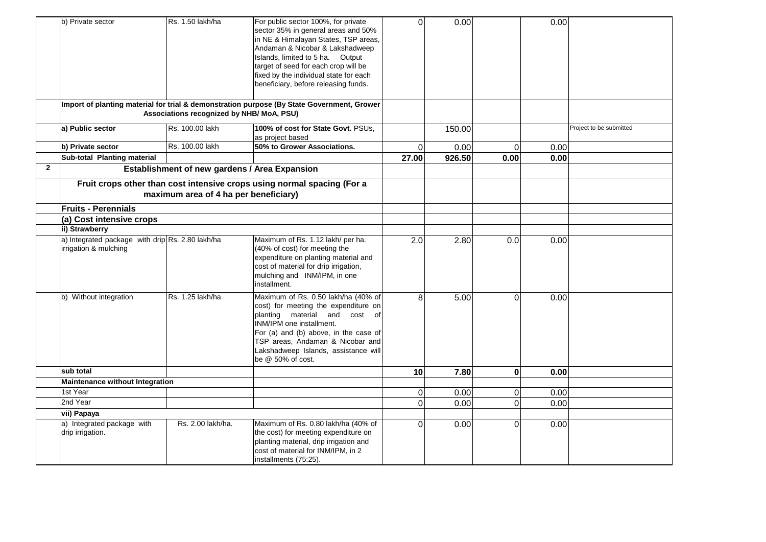|                | b) Private sector                                                         | Rs. 1.50 lakh/ha                              | For public sector 100%, for private<br>sector 35% in general areas and 50%<br>in NE & Himalayan States, TSP areas,<br>Andaman & Nicobar & Lakshadweep<br>Islands, limited to 5 ha. Output<br>target of seed for each crop will be<br>fixed by the individual state for each<br>beneficiary, before releasing funds. | $\Omega$        | 0.00   |                | 0.00 |                         |
|----------------|---------------------------------------------------------------------------|-----------------------------------------------|---------------------------------------------------------------------------------------------------------------------------------------------------------------------------------------------------------------------------------------------------------------------------------------------------------------------|-----------------|--------|----------------|------|-------------------------|
|                |                                                                           | Associations recognized by NHB/ MoA, PSU)     | Import of planting material for trial & demonstration purpose (By State Government, Grower                                                                                                                                                                                                                          |                 |        |                |      |                         |
|                | a) Public sector                                                          | Rs. 100.00 lakh                               | 100% of cost for State Govt. PSUs.<br>as project based                                                                                                                                                                                                                                                              |                 | 150.00 |                |      | Project to be submitted |
|                | b) Private sector                                                         | Rs. 100.00 lakh                               | 50% to Grower Associations.                                                                                                                                                                                                                                                                                         | $\mathbf 0$     | 0.00   | $\overline{O}$ | 0.00 |                         |
|                | Sub-total Planting material                                               |                                               |                                                                                                                                                                                                                                                                                                                     | 27.00           | 926.50 | 0.00           | 0.00 |                         |
| $\overline{2}$ |                                                                           | Establishment of new gardens / Area Expansion |                                                                                                                                                                                                                                                                                                                     |                 |        |                |      |                         |
|                |                                                                           | maximum area of 4 ha per beneficiary)         | Fruit crops other than cost intensive crops using normal spacing (For a                                                                                                                                                                                                                                             |                 |        |                |      |                         |
|                | <b>Fruits - Perennials</b>                                                |                                               |                                                                                                                                                                                                                                                                                                                     |                 |        |                |      |                         |
|                | (a) Cost intensive crops                                                  |                                               |                                                                                                                                                                                                                                                                                                                     |                 |        |                |      |                         |
|                | ii) Strawberry                                                            |                                               |                                                                                                                                                                                                                                                                                                                     |                 |        |                |      |                         |
|                | a) Integrated package with drip Rs. 2.80 lakh/ha<br>irrigation & mulching |                                               | Maximum of Rs. 1.12 lakh/ per ha.<br>(40% of cost) for meeting the<br>expenditure on planting material and<br>cost of material for drip irrigation,<br>mulching and INM/IPM, in one<br>installment.                                                                                                                 | 2.0             | 2.80   | 0.0            | 0.00 |                         |
|                | b) Without integration                                                    | Rs. 1.25 lakh/ha                              | Maximum of Rs. 0.50 lakh/ha (40% of<br>cost) for meeting the expenditure on<br>planting material and cost of<br>INM/IPM one installment.<br>For (a) and (b) above, in the case of<br>TSP areas, Andaman & Nicobar and<br>Lakshadweep Islands, assistance will<br>be @ 50% of cost.                                  | 8               | 5.00   | $\Omega$       | 0.00 |                         |
|                | sub total                                                                 |                                               |                                                                                                                                                                                                                                                                                                                     | 10 <sup>1</sup> | 7.80   | $\bf{0}$       | 0.00 |                         |
|                | <b>Maintenance without Integration</b>                                    |                                               |                                                                                                                                                                                                                                                                                                                     |                 |        |                |      |                         |
|                | 1st Year                                                                  |                                               |                                                                                                                                                                                                                                                                                                                     | $\overline{0}$  | 0.00   | $\overline{O}$ | 0.00 |                         |
|                | 2nd Year                                                                  |                                               |                                                                                                                                                                                                                                                                                                                     | $\Omega$        | 0.00   | $\Omega$       | 0.00 |                         |
|                | vii) Papaya                                                               |                                               |                                                                                                                                                                                                                                                                                                                     |                 |        |                |      |                         |
|                | a) Integrated package with<br>drip irrigation.                            | Rs. 2.00 lakh/ha.                             | Maximum of Rs. 0.80 lakh/ha (40% of<br>the cost) for meeting expenditure on<br>planting material, drip irrigation and<br>cost of material for INM/IPM, in 2<br>installments (75:25).                                                                                                                                | $\Omega$        | 0.00   | $\Omega$       | 0.00 |                         |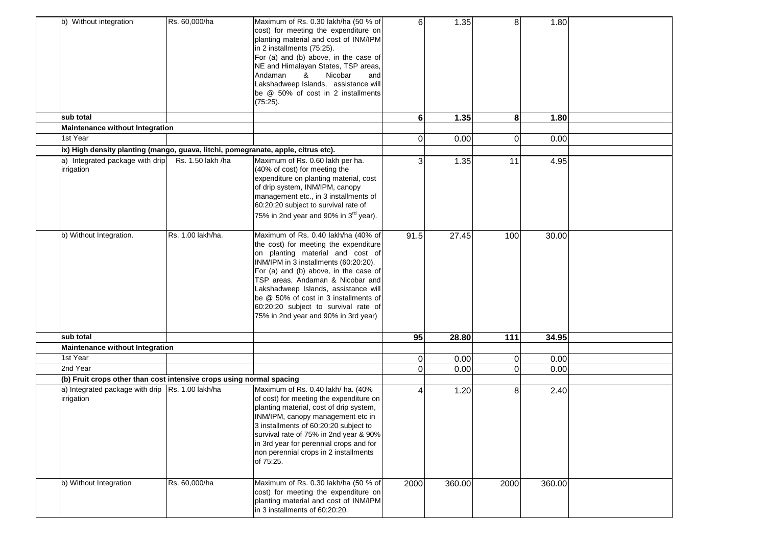| b) Without integration                                                            | Rs. 60,000/ha     | Maximum of Rs. 0.30 lakh/ha (50 % of<br>cost) for meeting the expenditure on<br>planting material and cost of INM/IPM<br>in 2 installments (75:25).<br>For (a) and (b) above, in the case of<br>NE and Himalayan States, TSP areas,<br>Andaman<br>&<br>Nicobar<br>and<br>Lakshadweep Islands, assistance will<br>be @ 50% of cost in 2 installments<br>(75:25).                                         | 6              | 1.35   | 8              | 1.80   |  |
|-----------------------------------------------------------------------------------|-------------------|---------------------------------------------------------------------------------------------------------------------------------------------------------------------------------------------------------------------------------------------------------------------------------------------------------------------------------------------------------------------------------------------------------|----------------|--------|----------------|--------|--|
| sub total                                                                         |                   |                                                                                                                                                                                                                                                                                                                                                                                                         | $6 \mid$       | 1.35   | 8              | 1.80   |  |
| Maintenance without Integration<br>1st Year                                       |                   |                                                                                                                                                                                                                                                                                                                                                                                                         |                |        |                |        |  |
|                                                                                   |                   |                                                                                                                                                                                                                                                                                                                                                                                                         | $\Omega$       | 0.00   | $\overline{0}$ | 0.00   |  |
| ix) High density planting (mango, guava, litchi, pomegranate, apple, citrus etc). |                   |                                                                                                                                                                                                                                                                                                                                                                                                         |                |        |                |        |  |
| a) Integrated package with drip<br>irrigation                                     | Rs. 1.50 lakh /ha | Maximum of Rs. 0.60 lakh per ha.<br>(40% of cost) for meeting the<br>expenditure on planting material, cost<br>of drip system, INM/IPM, canopy<br>management etc., in 3 installments of<br>60:20:20 subject to survival rate of<br>75% in 2nd year and 90% in 3 <sup>rd</sup> year).                                                                                                                    | 3              | 1.35   | 11             | 4.95   |  |
| b) Without Integration.                                                           | Rs. 1.00 lakh/ha. | Maximum of Rs. 0.40 lakh/ha (40% of<br>the cost) for meeting the expenditure<br>on planting material and cost of<br>INM/IPM in 3 installments (60:20:20).<br>For (a) and (b) above, in the case of<br>TSP areas, Andaman & Nicobar and<br>Lakshadweep Islands, assistance will<br>be @ 50% of cost in 3 installments of<br>60:20:20 subject to survival rate of<br>75% in 2nd year and 90% in 3rd year) | 91.5           | 27.45  | 100            | 30.00  |  |
| sub total                                                                         |                   |                                                                                                                                                                                                                                                                                                                                                                                                         | 95             | 28.80  | 111            | 34.95  |  |
| Maintenance without Integration                                                   |                   |                                                                                                                                                                                                                                                                                                                                                                                                         |                |        |                |        |  |
| 1st Year                                                                          |                   |                                                                                                                                                                                                                                                                                                                                                                                                         | $\overline{0}$ | 0.00   | 0              | 0.00   |  |
| 2nd Year                                                                          |                   |                                                                                                                                                                                                                                                                                                                                                                                                         | $\Omega$       | 0.00   | $\Omega$       | 0.00   |  |
| (b) Fruit crops other than cost intensive crops using normal spacing              |                   |                                                                                                                                                                                                                                                                                                                                                                                                         |                |        |                |        |  |
| a) Integrated package with drip Rs. 1.00 lakh/ha<br>irrigation                    |                   | Maximum of Rs. 0.40 lakh/ ha. (40%<br>of cost) for meeting the expenditure on<br>planting material, cost of drip system,<br>INM/IPM, canopy management etc in<br>3 installments of 60:20:20 subject to<br>survival rate of 75% in 2nd year & 90%<br>in 3rd year for perennial crops and for<br>non perennial crops in 2 installments<br>of 75:25.                                                       | 4              | 1.20   | 8              | 2.40   |  |
| b) Without Integration                                                            | Rs. 60,000/ha     | Maximum of Rs. 0.30 lakh/ha (50 % of<br>cost) for meeting the expenditure on<br>planting material and cost of INM/IPM<br>in 3 installments of 60:20:20.                                                                                                                                                                                                                                                 | 2000           | 360.00 | 2000           | 360.00 |  |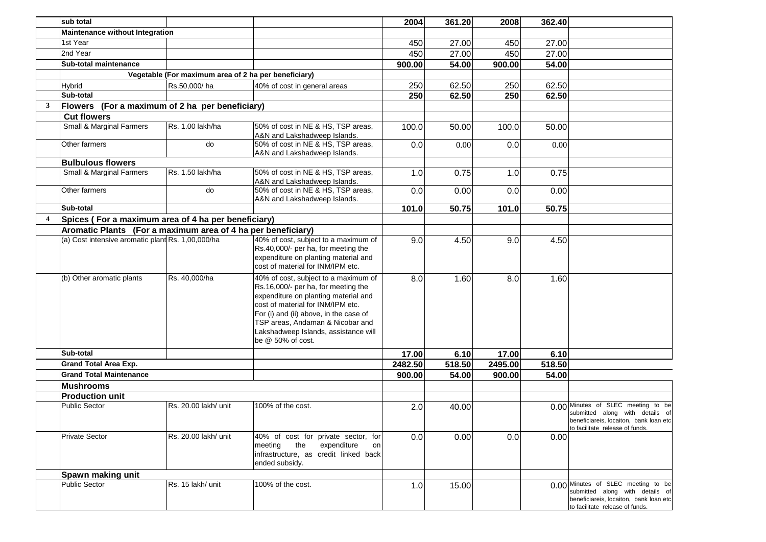|                         | sub total                                                    |                                                      |                                                                                                                                                                                                                                                                                                     | 2004    | 361.20 | 2008    | 362.40 |                                                                                                                                                    |
|-------------------------|--------------------------------------------------------------|------------------------------------------------------|-----------------------------------------------------------------------------------------------------------------------------------------------------------------------------------------------------------------------------------------------------------------------------------------------------|---------|--------|---------|--------|----------------------------------------------------------------------------------------------------------------------------------------------------|
|                         | Maintenance without Integration                              |                                                      |                                                                                                                                                                                                                                                                                                     |         |        |         |        |                                                                                                                                                    |
|                         | 1st Year                                                     |                                                      |                                                                                                                                                                                                                                                                                                     | 450     | 27.00  | 450     | 27.00  |                                                                                                                                                    |
|                         | 2nd Year                                                     |                                                      |                                                                                                                                                                                                                                                                                                     | 450     | 27.00  | 450     | 27.00  |                                                                                                                                                    |
|                         | Sub-total maintenance                                        |                                                      |                                                                                                                                                                                                                                                                                                     | 900.00  | 54.00  | 900.00  | 54.00  |                                                                                                                                                    |
|                         |                                                              | Vegetable (For maximum area of 2 ha per beneficiary) |                                                                                                                                                                                                                                                                                                     |         |        |         |        |                                                                                                                                                    |
|                         | <b>Hybrid</b>                                                | Rs.50,000/ha                                         | 40% of cost in general areas                                                                                                                                                                                                                                                                        | 250     | 62.50  | 250     | 62.50  |                                                                                                                                                    |
|                         | Sub-total                                                    |                                                      |                                                                                                                                                                                                                                                                                                     | 250     | 62.50  | 250     | 62.50  |                                                                                                                                                    |
| 3                       | Flowers (For a maximum of 2 ha per beneficiary)              |                                                      |                                                                                                                                                                                                                                                                                                     |         |        |         |        |                                                                                                                                                    |
|                         | <b>Cut flowers</b>                                           |                                                      |                                                                                                                                                                                                                                                                                                     |         |        |         |        |                                                                                                                                                    |
|                         | Small & Marginal Farmers                                     | Rs. 1.00 lakh/ha                                     | 50% of cost in NE & HS, TSP areas,<br>A&N and Lakshadweep Islands.                                                                                                                                                                                                                                  | 100.0   | 50.00  | 100.0   | 50.00  |                                                                                                                                                    |
|                         | Other farmers                                                | do                                                   | 50% of cost in NE & HS, TSP areas,<br>A&N and Lakshadweep Islands.                                                                                                                                                                                                                                  | 0.0     | 0.00   | 0.0     | 0.00   |                                                                                                                                                    |
|                         | <b>Bulbulous flowers</b>                                     |                                                      |                                                                                                                                                                                                                                                                                                     |         |        |         |        |                                                                                                                                                    |
|                         | <b>Small &amp; Marginal Farmers</b>                          | Rs. 1.50 lakh/ha                                     | 50% of cost in NE & HS, TSP areas,<br>A&N and Lakshadweep Islands.                                                                                                                                                                                                                                  | 1.0     | 0.75   | 1.0     | 0.75   |                                                                                                                                                    |
|                         | Other farmers                                                | do                                                   | 50% of cost in NE & HS, TSP areas,<br>A&N and Lakshadweep Islands.                                                                                                                                                                                                                                  | 0.0     | 0.00   | 0.0     | 0.00   |                                                                                                                                                    |
|                         | Sub-total                                                    |                                                      |                                                                                                                                                                                                                                                                                                     | 101.0   | 50.75  | 101.0   | 50.75  |                                                                                                                                                    |
| $\overline{\mathbf{4}}$ | Spices (For a maximum area of 4 ha per beneficiary)          |                                                      |                                                                                                                                                                                                                                                                                                     |         |        |         |        |                                                                                                                                                    |
|                         | Aromatic Plants (For a maximum area of 4 ha per beneficiary) |                                                      |                                                                                                                                                                                                                                                                                                     |         |        |         |        |                                                                                                                                                    |
|                         | (a) Cost intensive aromatic plant Rs. 1,00,000/ha            |                                                      | 40% of cost, subject to a maximum of<br>Rs.40,000/- per ha, for meeting the<br>expenditure on planting material and<br>cost of material for INM/IPM etc.                                                                                                                                            | 9.0     | 4.50   | 9.0     | 4.50   |                                                                                                                                                    |
|                         | (b) Other aromatic plants                                    | Rs. 40,000/ha                                        | 40% of cost, subject to a maximum of<br>Rs.16,000/- per ha, for meeting the<br>expenditure on planting material and<br>cost of material for INM/IPM etc.<br>For (i) and (ii) above, in the case of<br>TSP areas, Andaman & Nicobar and<br>Lakshadweep Islands, assistance will<br>be @ 50% of cost. | 8.0     | 1.60   | 8.0     | 1.60   |                                                                                                                                                    |
|                         | Sub-total                                                    |                                                      |                                                                                                                                                                                                                                                                                                     | 17.00   | 6.10   | 17.00   | 6.10   |                                                                                                                                                    |
|                         | <b>Grand Total Area Exp.</b>                                 |                                                      |                                                                                                                                                                                                                                                                                                     | 2482.50 | 518.50 | 2495.00 | 518.50 |                                                                                                                                                    |
|                         | <b>Grand Total Maintenance</b>                               |                                                      |                                                                                                                                                                                                                                                                                                     | 900.00  | 54.00  | 900.00  | 54.00  |                                                                                                                                                    |
|                         | <b>Mushrooms</b>                                             |                                                      |                                                                                                                                                                                                                                                                                                     |         |        |         |        |                                                                                                                                                    |
|                         | <b>Production unit</b>                                       |                                                      |                                                                                                                                                                                                                                                                                                     |         |        |         |        |                                                                                                                                                    |
|                         | <b>Public Sector</b>                                         | Rs. 20.00 lakh/ unit                                 | 100% of the cost.                                                                                                                                                                                                                                                                                   | 2.0     | 40.00  |         |        | 0.00 Minutes of SLEC meeting to be<br>submitted along with details of<br>beneficiareis, locaiton, bank loan etc<br>to facilitate release of funds. |
|                         | <b>Private Sector</b>                                        | Rs. 20.00 lakh/ unit                                 | 40% of cost for private sector, for<br>the<br>expenditure<br>meeting<br>on<br>infrastructure, as credit linked back<br>ended subsidy.                                                                                                                                                               | 0.0     | 0.00   | 0.0     | 0.00   |                                                                                                                                                    |
|                         | Spawn making unit                                            |                                                      |                                                                                                                                                                                                                                                                                                     |         |        |         |        |                                                                                                                                                    |
|                         | <b>Public Sector</b>                                         | Rs. 15 lakh/ unit                                    | 100% of the cost.                                                                                                                                                                                                                                                                                   | 1.0     | 15.00  |         |        | 0.00 Minutes of SLEC meeting to be<br>submitted along with details of<br>beneficiareis, locaiton, bank loan etc<br>to facilitate release of funds. |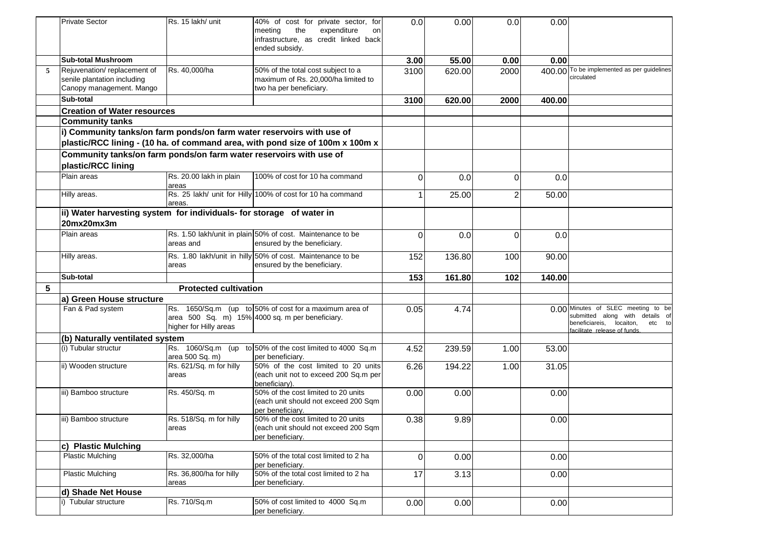|   | <b>Private Sector</b>                                                                    | Rs. 15 lakh/ unit                | 40% of cost for private sector, for<br>the<br>expenditure<br>meeting<br>on<br>infrastructure, as credit linked back<br>ended subsidy. | 0.0      | 0.00   | 0.0            | 0.00   |                                                                                                                                                |
|---|------------------------------------------------------------------------------------------|----------------------------------|---------------------------------------------------------------------------------------------------------------------------------------|----------|--------|----------------|--------|------------------------------------------------------------------------------------------------------------------------------------------------|
|   | <b>Sub-total Mushroom</b>                                                                |                                  |                                                                                                                                       | 3.00     | 55.00  | 0.00           | 0.00   |                                                                                                                                                |
| 5 | Rejuvenation/replacement of<br>senile plantation including<br>Canopy management. Mango   | Rs. 40.000/ha                    | 50% of the total cost subject to a<br>maximum of Rs. 20,000/ha limited to<br>two ha per beneficiary.                                  | 3100     | 620.00 | 2000           |        | 400.00 To be implemented as per guidelines<br>circulated                                                                                       |
|   | Sub-total                                                                                |                                  |                                                                                                                                       | 3100     | 620.00 | 2000           | 400.00 |                                                                                                                                                |
|   | <b>Creation of Water resources</b>                                                       |                                  |                                                                                                                                       |          |        |                |        |                                                                                                                                                |
|   | <b>Community tanks</b>                                                                   |                                  |                                                                                                                                       |          |        |                |        |                                                                                                                                                |
|   | i) Community tanks/on farm ponds/on farm water reservoirs with use of                    |                                  | plastic/RCC lining - (10 ha. of command area, with pond size of 100m x 100m x                                                         |          |        |                |        |                                                                                                                                                |
|   | Community tanks/on farm ponds/on farm water reservoirs with use of<br>plastic/RCC lining |                                  |                                                                                                                                       |          |        |                |        |                                                                                                                                                |
|   | Plain areas                                                                              | Rs. 20.00 lakh in plain<br>areas | 100% of cost for 10 ha command                                                                                                        | $\Omega$ | 0.0    | $\overline{0}$ | 0.0    |                                                                                                                                                |
|   | Hilly areas.                                                                             | areas.                           | Rs. 25 lakh/ unit for Hilly 100% of cost for 10 ha command                                                                            | 1        | 25.00  | $\overline{2}$ | 50.00  |                                                                                                                                                |
|   | ii) Water harvesting system for individuals- for storage of water in<br>20mx20mx3m       |                                  |                                                                                                                                       |          |        |                |        |                                                                                                                                                |
|   | Plain areas                                                                              | areas and                        | Rs. 1.50 lakh/unit in plain 50% of cost. Maintenance to be<br>ensured by the beneficiary.                                             | $\Omega$ | 0.0    | $\Omega$       | 0.0    |                                                                                                                                                |
|   | Hilly areas.                                                                             | areas                            | Rs. 1.80 lakh/unit in hilly 50% of cost. Maintenance to be<br>ensured by the beneficiary.                                             | 152      | 136.80 | 100            | 90.00  |                                                                                                                                                |
|   | Sub-total                                                                                |                                  |                                                                                                                                       | 153      | 161.80 | 102            | 140.00 |                                                                                                                                                |
| 5 |                                                                                          | <b>Protected cultivation</b>     |                                                                                                                                       |          |        |                |        |                                                                                                                                                |
|   | a) Green House structure                                                                 |                                  |                                                                                                                                       |          |        |                |        |                                                                                                                                                |
|   | Fan & Pad system                                                                         | higher for Hilly areas           | Rs. 1650/Sq.m (up to 50% of cost for a maximum area of<br>area 500 Sq. m) 15% 4000 sq. m per beneficiary.                             | 0.05     | 4.74   |                |        | 0.00 Minutes of SLEC meeting to be<br>submitted along with details of<br>beneficiareis,<br>locaiton,<br>etc to<br>facilitate release of funds. |
|   | (b) Naturally ventilated system                                                          |                                  |                                                                                                                                       |          |        |                |        |                                                                                                                                                |
|   | (i) Tubular structur                                                                     | area 500 Sq. m)                  | Rs. 1060/Sq.m (up to 50% of the cost limited to 4000 Sq.m<br>per beneficiary.                                                         | 4.52     | 239.59 | 1.00           | 53.00  |                                                                                                                                                |
|   | ii) Wooden structure                                                                     | Rs. 621/Sq. m for hilly<br>areas | 50% of the cost limited to 20 units<br>(each unit not to exceed 200 Sq.m per                                                          | 6.26     | 194.22 | 1.00           | 31.05  |                                                                                                                                                |
|   |                                                                                          |                                  | beneficiary).                                                                                                                         |          |        |                |        |                                                                                                                                                |
|   | iii) Bamboo structure                                                                    | Rs. 450/Sq. m                    | 50% of the cost limited to 20 units<br>(each unit should not exceed 200 Sqm<br>per beneficiary.                                       | 0.00     | 0.00   |                | 0.00   |                                                                                                                                                |
|   | liii) Bamboo structure                                                                   | Rs. 518/Sq. m for hilly<br>areas | 50% of the cost limited to 20 units<br>(each unit should not exceed 200 Sqm<br>per beneficiary.                                       | 0.38     | 9.89   |                | 0.00   |                                                                                                                                                |
|   | c) Plastic Mulching                                                                      |                                  |                                                                                                                                       |          |        |                |        |                                                                                                                                                |
|   | <b>Plastic Mulching</b>                                                                  | Rs. 32,000/ha                    | 50% of the total cost limited to 2 ha<br>per beneficiary.                                                                             | $\Omega$ | 0.00   |                | 0.00   |                                                                                                                                                |
|   | <b>Plastic Mulching</b>                                                                  | Rs. 36,800/ha for hilly<br>areas | 50% of the total cost limited to 2 ha<br>per beneficiary.                                                                             | 17       | 3.13   |                | 0.00   |                                                                                                                                                |
|   | d) Shade Net House                                                                       |                                  |                                                                                                                                       |          |        |                |        |                                                                                                                                                |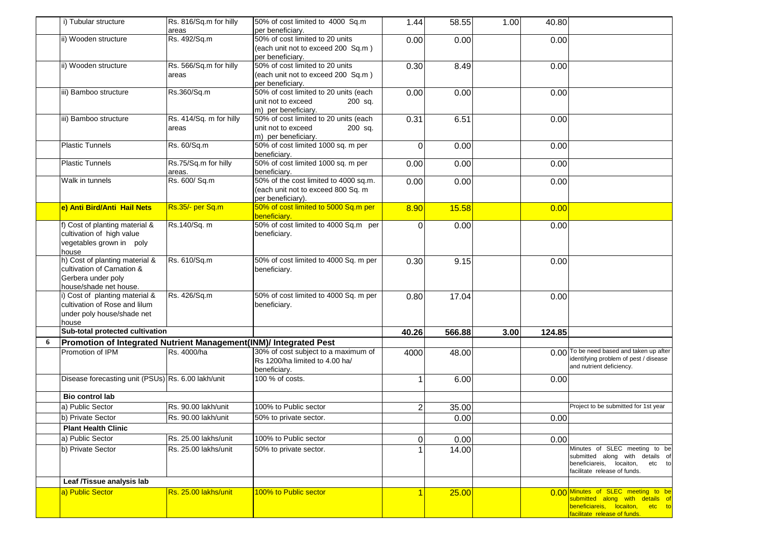|   | i) Tubular structure                                                                                         | Rs. 816/Sq.m for hilly<br>areas  | 50% of cost limited to 4000 Sq.m<br>per beneficiary.                                             | 1.44           | 58.55  | 1.00 | 40.80  |                                                                                                                                          |
|---|--------------------------------------------------------------------------------------------------------------|----------------------------------|--------------------------------------------------------------------------------------------------|----------------|--------|------|--------|------------------------------------------------------------------------------------------------------------------------------------------|
|   | ii) Wooden structure                                                                                         | Rs. 492/Sq.m                     | 50% of cost limited to 20 units<br>(each unit not to exceed 200 Sq.m)                            | 0.00           | 0.00   |      | 0.00   |                                                                                                                                          |
|   |                                                                                                              |                                  | per beneficiary.                                                                                 |                |        |      |        |                                                                                                                                          |
|   | ii) Wooden structure                                                                                         | Rs. 566/Sq.m for hilly<br>areas  | 50% of cost limited to 20 units<br>(each unit not to exceed 200 Sq.m)<br>per beneficiary.        | 0.30           | 8.49   |      | 0.00   |                                                                                                                                          |
|   | iii) Bamboo structure                                                                                        | Rs.360/Sq.m                      | 50% of cost limited to 20 units (each<br>unit not to exceed<br>200 sq.<br>m) per beneficiary.    | 0.00           | 0.00   |      | 0.00   |                                                                                                                                          |
|   | iii) Bamboo structure                                                                                        | Rs. 414/Sq. m for hilly<br>areas | 50% of cost limited to 20 units (each<br>unit not to exceed<br>200 sq.<br>m) per beneficiary.    | 0.31           | 6.51   |      | 0.00   |                                                                                                                                          |
|   | <b>Plastic Tunnels</b>                                                                                       | Rs. 60/Sq.m                      | 50% of cost limited 1000 sq. m per<br>beneficiary.                                               | $\Omega$       | 0.00   |      | 0.00   |                                                                                                                                          |
|   | <b>Plastic Tunnels</b>                                                                                       | Rs.75/Sq.m for hilly<br>areas.   | 50% of cost limited 1000 sq. m per<br>beneficiary.                                               | 0.00           | 0.00   |      | 0.00   |                                                                                                                                          |
|   | Walk in tunnels                                                                                              | Rs. 600/ Sq.m                    | 50% of the cost limited to 4000 sq.m.<br>(each unit not to exceed 800 Sq. m<br>per beneficiary). | 0.00           | 0.00   |      | 0.00   |                                                                                                                                          |
|   | e) Anti Bird/Anti Hail Nets                                                                                  | Rs.35/- per Sq.m                 | 50% of cost limited to 5000 Sq.m per<br>beneficiarv.                                             | 8.90           | 15.58  |      | 0.00   |                                                                                                                                          |
|   | f) Cost of planting material &<br>cultivation of high value<br>vegetables grown in poly<br>house             | Rs.140/Sq. m                     | 50% of cost limited to 4000 Sq.m per<br>beneficiary.                                             | $\Omega$       | 0.00   |      | 0.00   |                                                                                                                                          |
|   | h) Cost of planting material &<br>cultivation of Carnation &<br>Gerbera under poly<br>house/shade net house. | Rs. 610/Sq.m                     | 50% of cost limited to 4000 Sq. m per<br>beneficiary.                                            | 0.30           | 9.15   |      | 0.00   |                                                                                                                                          |
|   | i) Cost of planting material &<br>cultivation of Rose and lilum<br>under poly house/shade net<br>house       | Rs. 426/Sq.m                     | 50% of cost limited to 4000 Sq. m per<br>beneficiary.                                            | 0.80           | 17.04  |      | 0.00   |                                                                                                                                          |
|   | Sub-total protected cultivation                                                                              |                                  |                                                                                                  | 40.26          | 566.88 | 3.00 | 124.85 |                                                                                                                                          |
| 6 | Promotion of Integrated Nutrient Management(INM)/ Integrated Pest                                            |                                  |                                                                                                  |                |        |      |        |                                                                                                                                          |
|   | Promotion of IPM                                                                                             | Rs. 4000/ha                      | 30% of cost subject to a maximum of<br>Rs 1200/ha limited to 4.00 ha/<br>beneficiary.            | 4000           | 48.00  |      |        | 0.00 To be need based and taken up after<br>identifying problem of pest / disease<br>and nutrient deficiency.                            |
|   | Disease forecasting unit (PSUs) Rs. 6.00 lakh/unit                                                           |                                  | 100 % of costs.                                                                                  |                | 6.00   |      | 0.00   |                                                                                                                                          |
|   | <b>Bio control lab</b>                                                                                       |                                  |                                                                                                  |                |        |      |        |                                                                                                                                          |
|   | a) Public Sector                                                                                             | Rs. 90.00 lakh/unit              | 100% to Public sector                                                                            | $\overline{2}$ | 35.00  |      |        | Project to be submitted for 1st year                                                                                                     |
|   | b) Private Sector                                                                                            | Rs. 90.00 lakh/unit              | 50% to private sector.                                                                           |                | 0.00   |      | 0.00   |                                                                                                                                          |
|   | <b>Plant Health Clinic</b>                                                                                   |                                  |                                                                                                  |                |        |      |        |                                                                                                                                          |
|   | a) Public Sector                                                                                             | Rs. 25.00 lakhs/unit             | 100% to Public sector                                                                            | $\overline{0}$ | 0.00   |      | 0.00   |                                                                                                                                          |
|   | b) Private Sector                                                                                            | Rs. 25.00 lakhs/unit             | 50% to private sector.                                                                           |                | 14.00  |      |        | Minutes of SLEC meeting to be<br>submitted along with details of<br>beneficiareis, locaiton,<br>etc to<br>facilitate release of funds.   |
|   | Leaf /Tissue analysis lab                                                                                    |                                  |                                                                                                  |                |        |      |        |                                                                                                                                          |
|   | a) Public Sector                                                                                             | Rs. 25.00 lakhs/unit             | 100% to Public sector                                                                            |                | 25.00  |      |        | 0.00 Minutes of SLEC meeting to be<br>submitted along with details of<br>beneficiareis, locaiton, etc to<br>facilitate release of funds. |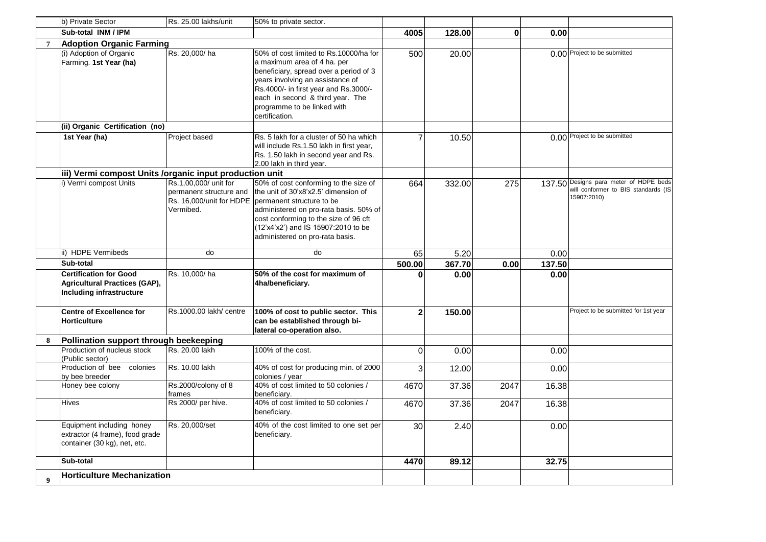|                | b) Private Sector                                                                                 | Rs. 25.00 lakhs/unit                                          | 50% to private sector.                                                                                                                                                                                                                                                                            |                |        |              |        |                                                                                              |
|----------------|---------------------------------------------------------------------------------------------------|---------------------------------------------------------------|---------------------------------------------------------------------------------------------------------------------------------------------------------------------------------------------------------------------------------------------------------------------------------------------------|----------------|--------|--------------|--------|----------------------------------------------------------------------------------------------|
|                | Sub-total INM / IPM                                                                               |                                                               |                                                                                                                                                                                                                                                                                                   | 4005           | 128.00 | $\mathbf{0}$ | 0.00   |                                                                                              |
| $\overline{7}$ | <b>Adoption Organic Farming</b>                                                                   |                                                               |                                                                                                                                                                                                                                                                                                   |                |        |              |        |                                                                                              |
|                | (i) Adoption of Organic<br>Farming. 1st Year (ha)                                                 | Rs. 20,000/ha                                                 | 50% of cost limited to Rs.10000/ha for<br>a maximum area of 4 ha. per<br>beneficiary, spread over a period of 3<br>years involving an assistance of<br>Rs.4000/- in first year and Rs.3000/-<br>each in second & third year. The<br>programme to be linked with<br>certification.                 | 500            | 20.00  |              |        | 0.00 Project to be submitted                                                                 |
|                | (ii) Organic Certification (no)                                                                   |                                                               |                                                                                                                                                                                                                                                                                                   |                |        |              |        |                                                                                              |
|                | 1st Year (ha)                                                                                     | Project based                                                 | Rs. 5 lakh for a cluster of 50 ha which<br>will include Rs.1.50 lakh in first year,<br>Rs. 1.50 lakh in second year and Rs.<br>2.00 lakh in third year.                                                                                                                                           |                | 10.50  |              |        | 0.00 Project to be submitted                                                                 |
|                | iii) Vermi compost Units /organic input production unit                                           |                                                               |                                                                                                                                                                                                                                                                                                   |                |        |              |        |                                                                                              |
|                | i) Vermi compost Units                                                                            | Rs.1,00,000/ unit for<br>permanent structure and<br>Vermibed. | 50% of cost conforming to the size of<br>the unit of 30'x8'x2.5' dimension of<br>Rs. 16.000/unit for HDPE opermanent structure to be<br>administered on pro-rata basis. 50% of<br>cost conforming to the size of 96 cft<br>(12'x4'x2') and IS 15907:2010 to be<br>administered on pro-rata basis. | 664            | 332.00 | 275          |        | 137.50 Designs para meter of HDPE beds<br>will conformer to BIS standards (IS<br>15907:2010) |
|                | ii) HDPE Vermibeds                                                                                | do                                                            | do                                                                                                                                                                                                                                                                                                | 65             | 5.20   |              | 0.00   |                                                                                              |
|                | Sub-total                                                                                         |                                                               |                                                                                                                                                                                                                                                                                                   | 500.00         | 367.70 | 0.00         | 137.50 |                                                                                              |
|                | <b>Certification for Good</b><br>Agricultural Practices (GAP),<br><b>Including infrastructure</b> | Rs. 10,000/ha                                                 | 50% of the cost for maximum of<br>4ha/beneficiary.                                                                                                                                                                                                                                                | $\Omega$       | 0.00   |              | 0.00   |                                                                                              |
|                | <b>Centre of Excellence for</b><br><b>Horticulture</b>                                            | Rs.1000.00 lakh/ centre                                       | 100% of cost to public sector. This<br>can be established through bi-<br>lateral co-operation also.                                                                                                                                                                                               | $\overline{2}$ | 150.00 |              |        | Project to be submitted for 1st year                                                         |
| 8              | Pollination support through beekeeping                                                            |                                                               |                                                                                                                                                                                                                                                                                                   |                |        |              |        |                                                                                              |
|                | Production of nucleus stock<br>(Public sector)                                                    | Rs. 20.00 lakh                                                | 100% of the cost.                                                                                                                                                                                                                                                                                 | $\Omega$       | 0.00   |              | 0.00   |                                                                                              |
|                | Production of bee colonies<br>by bee breeder                                                      | Rs. 10.00 lakh                                                | 40% of cost for producing min. of 2000<br>colonies / year                                                                                                                                                                                                                                         | 3              | 12.00  |              | 0.00   |                                                                                              |
|                | Honey bee colony                                                                                  | Rs.2000/colony of 8<br>frames                                 | 40% of cost limited to 50 colonies /<br>beneficiarv.                                                                                                                                                                                                                                              | 4670           | 37.36  | 2047         | 16.38  |                                                                                              |
|                | <b>Hives</b>                                                                                      | Rs 2000/ per hive.                                            | 40% of cost limited to 50 colonies /<br>beneficiary.                                                                                                                                                                                                                                              | 4670           | 37.36  | 2047         | 16.38  |                                                                                              |
|                | Equipment including honey<br>extractor (4 frame), food grade<br>container (30 kg), net, etc.      | Rs. 20,000/set                                                | 40% of the cost limited to one set per<br>beneficiary.                                                                                                                                                                                                                                            | 30             | 2.40   |              | 0.00   |                                                                                              |
|                | Sub-total                                                                                         |                                                               |                                                                                                                                                                                                                                                                                                   | 4470           | 89.12  |              | 32.75  |                                                                                              |
| $\mathbf Q$    | <b>Horticulture Mechanization</b>                                                                 |                                                               |                                                                                                                                                                                                                                                                                                   |                |        |              |        |                                                                                              |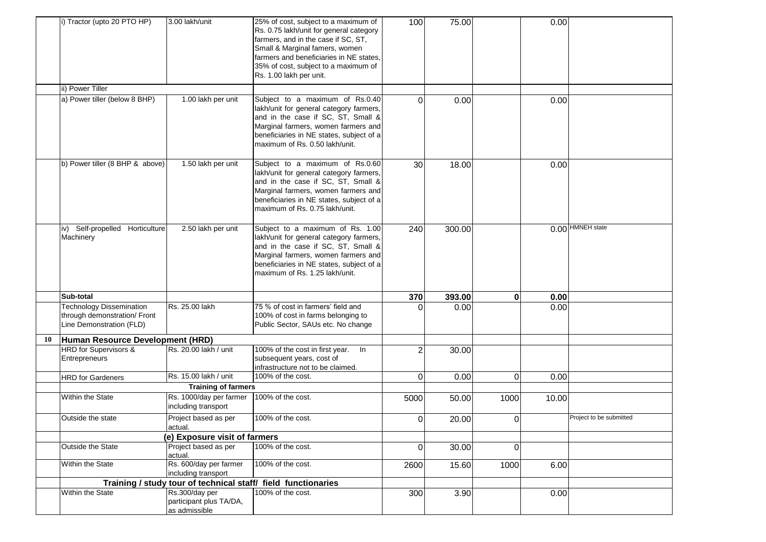|    | i) Tractor (upto 20 PTO HP)                                                                 | 3.00 lakh/unit                                             | 25% of cost, subject to a maximum of<br>Rs. 0.75 lakh/unit for general category<br>farmers, and in the case if SC, ST,<br>Small & Marginal famers, women<br>farmers and beneficiaries in NE states,<br>35% of cost, subject to a maximum of<br>Rs. 1.00 lakh per unit. | 100          | 75.00  |             | 0.00  |                         |
|----|---------------------------------------------------------------------------------------------|------------------------------------------------------------|------------------------------------------------------------------------------------------------------------------------------------------------------------------------------------------------------------------------------------------------------------------------|--------------|--------|-------------|-------|-------------------------|
|    | ii) Power Tiller                                                                            |                                                            |                                                                                                                                                                                                                                                                        |              |        |             |       |                         |
|    | a) Power tiller (below 8 BHP)                                                               | 1.00 lakh per unit                                         | Subject to a maximum of Rs.0.40<br>lakh/unit for general category farmers,<br>and in the case if SC, ST, Small &<br>Marginal farmers, women farmers and<br>beneficiaries in NE states, subject of a<br>maximum of Rs. 0.50 lakh/unit.                                  | $\Omega$     | 0.00   |             | 0.00  |                         |
|    | b) Power tiller (8 BHP & above)                                                             | 1.50 lakh per unit                                         | Subject to a maximum of Rs.0.60<br>lakh/unit for general category farmers,<br>and in the case if SC, ST, Small &<br>Marginal farmers, women farmers and<br>beneficiaries in NE states, subject of a<br>maximum of Rs. 0.75 lakh/unit.                                  | 30           | 18.00  |             | 0.00  |                         |
|    | iv) Self-propelled Horticulture<br>Machinery                                                | 2.50 lakh per unit                                         | Subject to a maximum of Rs. 1.00<br>lakh/unit for general category farmers,<br>and in the case if SC, ST, Small &<br>Marginal farmers, women farmers and<br>beneficiaries in NE states, subject of a<br>maximum of Rs. 1.25 lakh/unit.                                 | 240          | 300.00 |             |       | 0.00 HMNEH state        |
|    | Sub-total                                                                                   |                                                            |                                                                                                                                                                                                                                                                        | 370          | 393.00 | $\mathbf 0$ | 0.00  |                         |
|    | <b>Technology Dissemination</b><br>through demonstration/ Front<br>Line Demonstration (FLD) | Rs. 25.00 lakh                                             | 75 % of cost in farmers' field and<br>100% of cost in farms belonging to<br>Public Sector, SAUs etc. No change                                                                                                                                                         | <sup>0</sup> | 0.00   |             | 0.00  |                         |
| 10 | Human Resource Development (HRD)                                                            |                                                            |                                                                                                                                                                                                                                                                        |              |        |             |       |                         |
|    | HRD for Supervisors &<br>Entrepreneurs                                                      | Rs. 20.00 lakh / unit                                      | 100% of the cost in first year. In<br>subsequent years, cost of<br>infrastructure not to be claimed.                                                                                                                                                                   | 2            | 30.00  |             |       |                         |
|    | <b>HRD</b> for Gardeners                                                                    | Rs. 15.00 lakh / unit                                      | 100% of the cost.                                                                                                                                                                                                                                                      | $\mathbf 0$  | 0.00   | $\mathbf 0$ | 0.00  |                         |
|    |                                                                                             | <b>Training of farmers</b>                                 |                                                                                                                                                                                                                                                                        |              |        |             |       |                         |
|    | Within the State                                                                            | Rs. 1000/day per farmer<br>including transport             | 100% of the cost.                                                                                                                                                                                                                                                      | 5000         | 50.00  | 1000        | 10.00 |                         |
|    | Outside the state                                                                           | Project based as per<br>actual.                            | 100% of the cost.                                                                                                                                                                                                                                                      | $\mathbf 0$  | 20.00  | 0           |       | Project to be submitted |
|    |                                                                                             | (e) Exposure visit of farmers                              |                                                                                                                                                                                                                                                                        |              |        |             |       |                         |
|    | Outside the State                                                                           | Project based as per<br>actual.                            | 100% of the cost.                                                                                                                                                                                                                                                      | $\Omega$     | 30.00  | 0           |       |                         |
|    | Within the State                                                                            | Rs. 600/day per farmer<br>including transport              | 100% of the cost.                                                                                                                                                                                                                                                      | 2600         | 15.60  | 1000        | 6.00  |                         |
|    |                                                                                             |                                                            | Training / study tour of technical staff/ field functionaries                                                                                                                                                                                                          |              |        |             |       |                         |
|    | Within the State                                                                            | Rs.300/day per<br>participant plus TA/DA,<br>as admissible | 100% of the cost.                                                                                                                                                                                                                                                      | 300          | 3.90   |             | 0.00  |                         |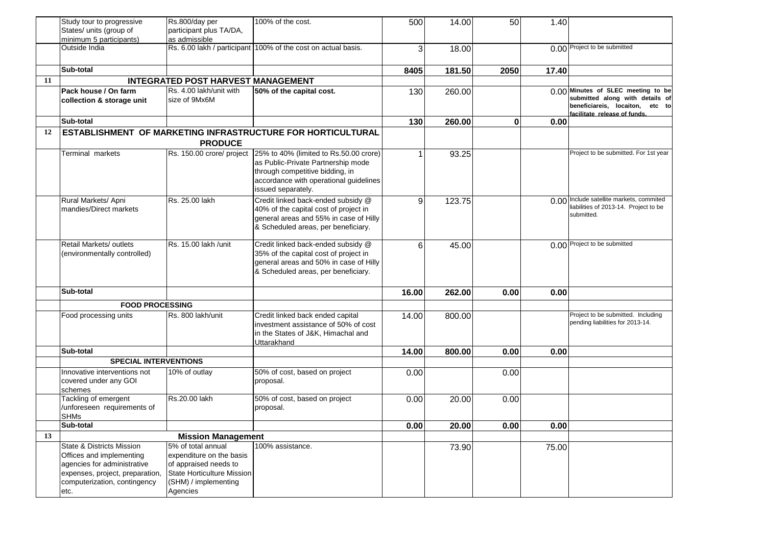|    | Study tour to progressive<br>States/ units (group of                                                                                                                   | Rs.800/day per<br>participant plus TA/DA,                                                                                                 | 100% of the cost.                                                                                                                                                                                         | 500            | 14.00  | 50           | 1.40  |                                                                                                                                          |
|----|------------------------------------------------------------------------------------------------------------------------------------------------------------------------|-------------------------------------------------------------------------------------------------------------------------------------------|-----------------------------------------------------------------------------------------------------------------------------------------------------------------------------------------------------------|----------------|--------|--------------|-------|------------------------------------------------------------------------------------------------------------------------------------------|
|    | minimum 5 participants)                                                                                                                                                | as admissible                                                                                                                             |                                                                                                                                                                                                           |                |        |              |       |                                                                                                                                          |
|    | Outside India                                                                                                                                                          |                                                                                                                                           | Rs. 6.00 lakh / participant 100% of the cost on actual basis.                                                                                                                                             | 3              | 18.00  |              |       | 0.00 Project to be submitted                                                                                                             |
|    | Sub-total                                                                                                                                                              |                                                                                                                                           |                                                                                                                                                                                                           | 8405           | 181.50 | 2050         | 17.40 |                                                                                                                                          |
| 11 |                                                                                                                                                                        | <b>INTEGRATED POST HARVEST MANAGEMENT</b>                                                                                                 |                                                                                                                                                                                                           |                |        |              |       |                                                                                                                                          |
|    | <b>Pack house / On farm</b><br>collection & storage unit                                                                                                               | Rs. 4.00 lakh/unit with<br>size of 9Mx6M                                                                                                  | 50% of the capital cost.                                                                                                                                                                                  | 130            | 260.00 |              |       | 0.00 Minutes of SLEC meeting to be<br>submitted along with details of<br>beneficiareis, locaiton, etc to<br>facilitate release of funds. |
|    | Sub-total                                                                                                                                                              |                                                                                                                                           |                                                                                                                                                                                                           | 130            | 260.00 | $\mathbf{0}$ | 0.00  |                                                                                                                                          |
| 12 |                                                                                                                                                                        |                                                                                                                                           | ESTABLISHMENT OF MARKETING INFRASTRUCTURE FOR HORTICULTURAL                                                                                                                                               |                |        |              |       |                                                                                                                                          |
|    |                                                                                                                                                                        | <b>PRODUCE</b>                                                                                                                            |                                                                                                                                                                                                           |                |        |              |       |                                                                                                                                          |
|    | Terminal markets                                                                                                                                                       |                                                                                                                                           | Rs. 150.00 crore/ project 25% to 40% (limited to Rs.50.00 crore)<br>as Public-Private Partnership mode<br>through competitive bidding, in<br>accordance with operational guidelines<br>issued separately. |                | 93.25  |              |       | Project to be submitted. For 1st year                                                                                                    |
|    | Rural Markets/ Apni<br>mandies/Direct markets                                                                                                                          | Rs. 25.00 lakh                                                                                                                            | Credit linked back-ended subsidy @<br>40% of the capital cost of project in<br>general areas and 55% in case of Hilly<br>& Scheduled areas, per beneficiary.                                              | $\overline{9}$ | 123.75 |              |       | 0.00 Include satellite markets, commited<br>liabilities of 2013-14. Project to be<br>submitted.                                          |
|    | Retail Markets/ outlets<br>(environmentally controlled)                                                                                                                | Rs. 15.00 lakh /unit                                                                                                                      | Credit linked back-ended subsidy @<br>35% of the capital cost of project in<br>general areas and 50% in case of Hilly<br>& Scheduled areas, per beneficiary.                                              | 6              | 45.00  |              |       | 0.00 Project to be submitted                                                                                                             |
|    | Sub-total                                                                                                                                                              |                                                                                                                                           |                                                                                                                                                                                                           | 16.00          | 262.00 | 0.00         | 0.00  |                                                                                                                                          |
|    | <b>FOOD PROCESSING</b>                                                                                                                                                 |                                                                                                                                           |                                                                                                                                                                                                           |                |        |              |       |                                                                                                                                          |
|    | Food processing units                                                                                                                                                  | Rs. 800 lakh/unit                                                                                                                         | Credit linked back ended capital<br>investment assistance of 50% of cost<br>in the States of J&K, Himachal and<br>Uttarakhand                                                                             | 14.00          | 800.00 |              |       | Project to be submitted. Including<br>pending liabilities for 2013-14.                                                                   |
|    | Sub-total                                                                                                                                                              |                                                                                                                                           |                                                                                                                                                                                                           | 14.00          | 800.00 | 0.00         | 0.00  |                                                                                                                                          |
|    | <b>SPECIAL INTERVENTIONS</b>                                                                                                                                           |                                                                                                                                           |                                                                                                                                                                                                           |                |        |              |       |                                                                                                                                          |
|    | Innovative interventions not<br>covered under any GOI<br>schemes                                                                                                       | 10% of outlay                                                                                                                             | 50% of cost, based on project<br>proposal.                                                                                                                                                                | 0.00           |        | 0.00         |       |                                                                                                                                          |
|    | Tackling of emergent<br>/unforeseen requirements of<br><b>SHMs</b>                                                                                                     | Rs.20.00 lakh                                                                                                                             | 50% of cost, based on project<br>proposal.                                                                                                                                                                | 0.00           | 20.00  | 0.00         |       |                                                                                                                                          |
|    | Sub-total                                                                                                                                                              |                                                                                                                                           |                                                                                                                                                                                                           | 0.00           | 20.00  | 0.00         | 0.00  |                                                                                                                                          |
| 13 |                                                                                                                                                                        | <b>Mission Management</b>                                                                                                                 |                                                                                                                                                                                                           |                |        |              |       |                                                                                                                                          |
|    | State & Districts Mission<br><b>Offices and implementing</b><br>agencies for administrative<br>expenses, project, preparation,<br>computerization, contingency<br>etc. | 5% of total annual<br>expenditure on the basis<br>of appraised needs to<br>State Horticulture Mission<br>(SHM) / implementing<br>Agencies | 100% assistance.                                                                                                                                                                                          |                | 73.90  |              | 75.00 |                                                                                                                                          |